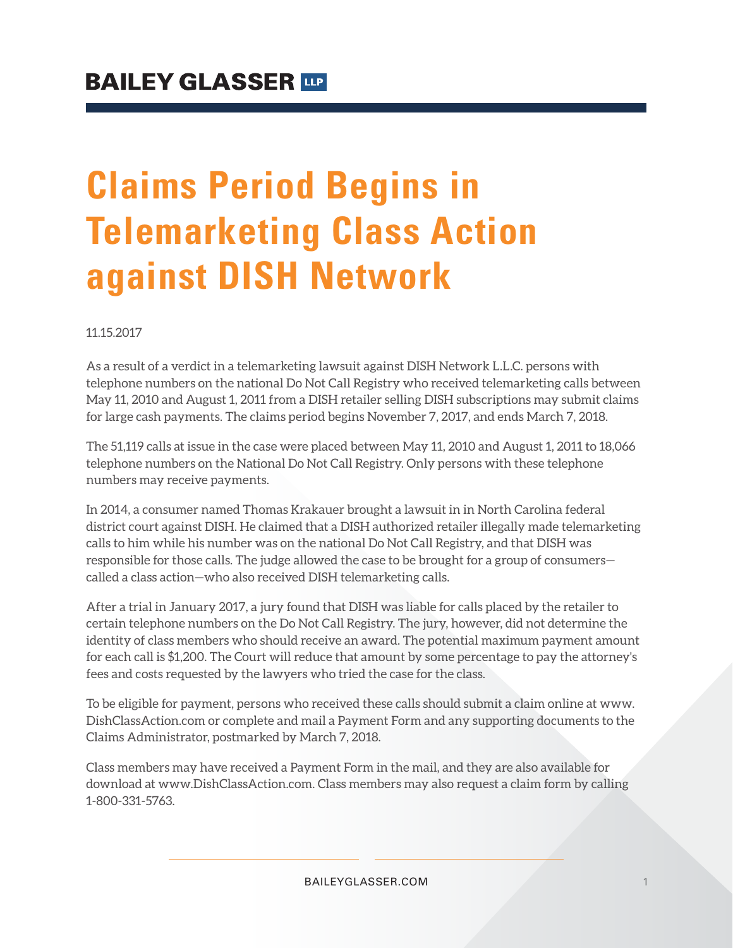# **Claims Period Begins in Telemarketing Class Action against DISH Network**

#### 11.15.2017

As a result of a verdict in a telemarketing lawsuit against DISH Network L.L.C. persons with telephone numbers on the national Do Not Call Registry who received telemarketing calls between May 11, 2010 and August 1, 2011 from a DISH retailer selling DISH subscriptions may submit claims for large cash payments. The claims period begins November 7, 2017, and ends March 7, 2018.

The 51,119 calls at issue in the case were placed between May 11, 2010 and August 1, 2011 to 18,066 telephone numbers on the National Do Not Call Registry. Only persons with these telephone numbers may receive payments.

In 2014, a consumer named Thomas Krakauer brought a lawsuit in in North Carolina federal district court against DISH. He claimed that a DISH authorized retailer illegally made telemarketing calls to him while his number was on the national Do Not Call Registry, and that DISH was responsible for those calls. The judge allowed the case to be brought for a group of consumers called a class action—who also received DISH telemarketing calls.

After a trial in January 2017, a jury found that DISH was liable for calls placed by the retailer to certain telephone numbers on the Do Not Call Registry. The jury, however, did not determine the identity of class members who should receive an award. The potential maximum payment amount for each call is \$1,200. The Court will reduce that amount by some percentage to pay the attorney's fees and costs requested by the lawyers who tried the case for the class.

To be eligible for payment, persons who received these calls should submit a claim online at www. DishClassAction.com or complete and mail a Payment Form and any supporting documents to the Claims Administrator, postmarked by March 7, 2018.

Class members may have received a Payment Form in the mail, and they are also available for download at www.DishClassAction.com. Class members may also request a claim form by calling 1-800-331-5763.